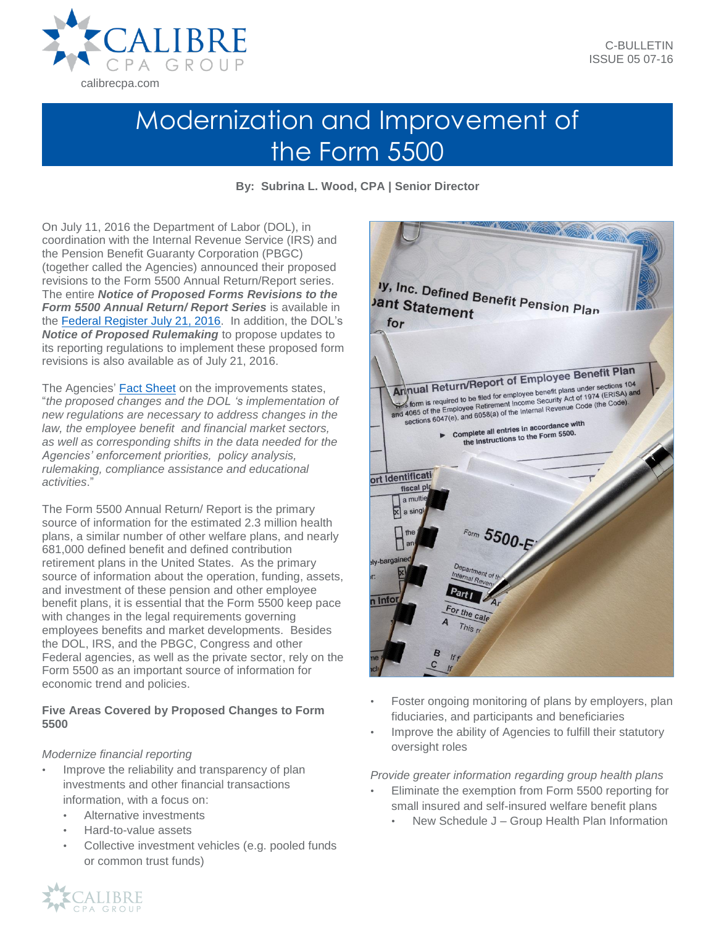

# Modernization and Improvement of the Form 5500

**By: Subrina L. Wood, CPA | Senior Director**

On July 11, 2016 the Department of Labor (DOL), in coordination with the Internal Revenue Service (IRS) and the Pension Benefit Guaranty Corporation (PBGC) (together called the Agencies) announced their proposed revisions to the Form 5500 Annual Return/Report series. The entire *Notice of Proposed Forms Revisions to the Form 5500 Annual Return/ Report Series* is available in the [Federal Register July 21, 2016.](http://www.investorscoalition.com/sites/default/files/DOLAnnualReportingandDisclosureRegulations.pdf) In addition, the DOL's *Notice of Proposed Rulemaking* to propose updates to its reporting regulations to implement these proposed form revisions is also available as of July 21, 2016.

The Agencies' [Fact Sheet](https://www.dol.gov/ebsa/pdf/fs-proposal-to-modernize-and-improve-the-form-5500-filed-by-employee-benefit-plans.pdf) on the improvements states, "*the proposed changes and the DOL 's implementation of new regulations are necessary to address changes in the law, the employee benefit and financial market sectors, as well as corresponding shifts in the data needed for the Agencies' enforcement priorities, policy analysis, rulemaking, compliance assistance and educational activities*."

The Form 5500 Annual Return/ Report is the primary source of information for the estimated 2.3 million health plans, a similar number of other welfare plans, and nearly 681,000 defined benefit and defined contribution retirement plans in the United States. As the primary source of information about the operation, funding, assets, and investment of these pension and other employee benefit plans, it is essential that the Form 5500 keep pace with changes in the legal requirements governing employees benefits and market developments. Besides the DOL, IRS, and the PBGC, Congress and other Federal agencies, as well as the private sector, rely on the Form 5500 as an important source of information for economic trend and policies.

### **Five Areas Covered by Proposed Changes to Form 5500**

## *Modernize financial reporting*

- Improve the reliability and transparency of plan investments and other financial transactions information, with a focus on:
	- Alternative investments
	- Hard-to-value assets
	- Collective investment vehicles (e.g. pooled funds or common trust funds)



- Foster ongoing monitoring of plans by employers, plan fiduciaries, and participants and beneficiaries
- Improve the ability of Agencies to fulfill their statutory oversight roles

*Provide greater information regarding group health plans*

- Eliminate the exemption from Form 5500 reporting for small insured and self-insured welfare benefit plans
	- New Schedule J Group Health Plan Information